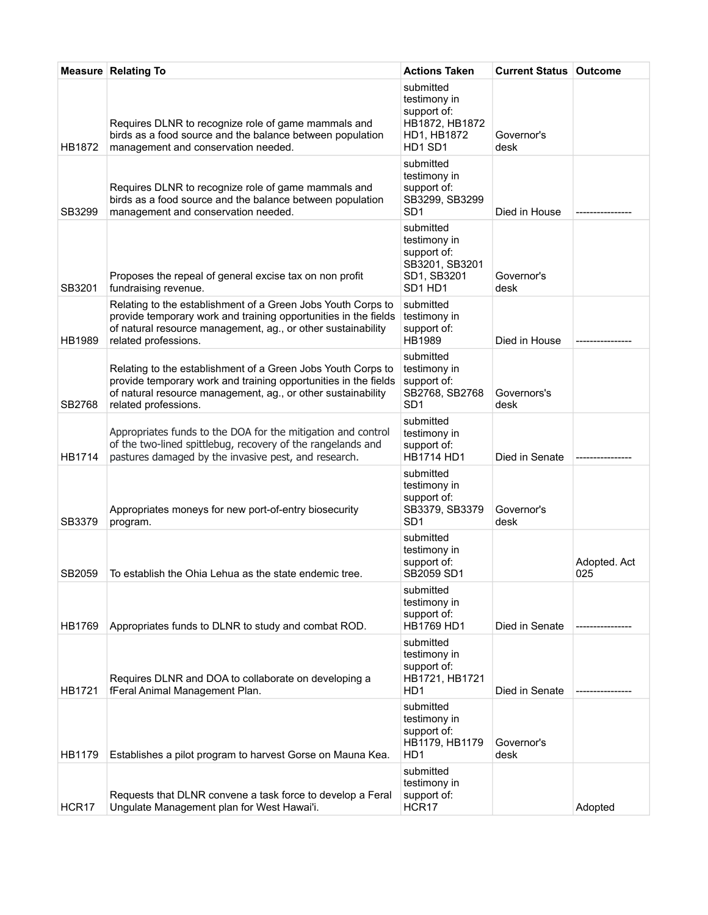|               | <b>Measure Relating To</b>                                                                                                                                                                                              | <b>Actions Taken</b>                                                                 | <b>Current Status   Outcome</b> |                     |
|---------------|-------------------------------------------------------------------------------------------------------------------------------------------------------------------------------------------------------------------------|--------------------------------------------------------------------------------------|---------------------------------|---------------------|
| HB1872        | Requires DLNR to recognize role of game mammals and<br>birds as a food source and the balance between population<br>management and conservation needed.                                                                 | submitted<br>testimony in<br>support of:<br>HB1872, HB1872<br>HD1, HB1872<br>HD1 SD1 | Governor's<br>desk              |                     |
| SB3299        | Requires DLNR to recognize role of game mammals and<br>birds as a food source and the balance between population<br>management and conservation needed.                                                                 | submitted<br>testimony in<br>support of:<br>SB3299, SB3299<br>SD <sub>1</sub>        | Died in House                   |                     |
| SB3201        | Proposes the repeal of general excise tax on non profit<br>fundraising revenue.                                                                                                                                         | submitted<br>testimony in<br>support of:<br>SB3201, SB3201<br>SD1, SB3201<br>SD1 HD1 | Governor's<br>desk              |                     |
| HB1989        | Relating to the establishment of a Green Jobs Youth Corps to<br>provide temporary work and training opportunities in the fields<br>of natural resource management, ag., or other sustainability<br>related professions. | submitted<br>testimony in<br>support of:<br>HB1989                                   | Died in House                   |                     |
| SB2768        | Relating to the establishment of a Green Jobs Youth Corps to<br>provide temporary work and training opportunities in the fields<br>of natural resource management, ag., or other sustainability<br>related professions. | submitted<br>testimony in<br>support of:<br>SB2768, SB2768<br>SD <sub>1</sub>        | Governors's<br>desk             |                     |
| <b>HB1714</b> | Appropriates funds to the DOA for the mitigation and control<br>of the two-lined spittlebug, recovery of the rangelands and<br>pastures damaged by the invasive pest, and research.                                     | submitted<br>testimony in<br>support of:<br><b>HB1714 HD1</b>                        | Died in Senate                  |                     |
| SB3379        | Appropriates moneys for new port-of-entry biosecurity<br>program.                                                                                                                                                       | submitted<br>testimony in<br>support of:<br>SB3379, SB3379<br>SD <sub>1</sub>        | Governor's<br>desk              |                     |
| SB2059        | To establish the Ohia Lehua as the state endemic tree.                                                                                                                                                                  | submitted<br>testimony in<br>support of:<br>SB2059 SD1                               |                                 | Adopted. Act<br>025 |
| <b>HB1769</b> | Appropriates funds to DLNR to study and combat ROD.                                                                                                                                                                     | submitted<br>testimony in<br>support of:<br>HB1769 HD1                               | Died in Senate                  |                     |
| HB1721        | Requires DLNR and DOA to collaborate on developing a<br>fFeral Animal Management Plan.                                                                                                                                  | submitted<br>testimony in<br>support of:<br>HB1721, HB1721<br>HD1                    | Died in Senate                  |                     |
| HB1179        | Establishes a pilot program to harvest Gorse on Mauna Kea.                                                                                                                                                              | submitted<br>testimony in<br>support of:<br>HB1179, HB1179<br>H <sub>D</sub> 1       | Governor's<br>desk              |                     |
| HCR17         | Requests that DLNR convene a task force to develop a Feral<br>Ungulate Management plan for West Hawai'i.                                                                                                                | submitted<br>testimony in<br>support of:<br>HCR17                                    |                                 | Adopted             |